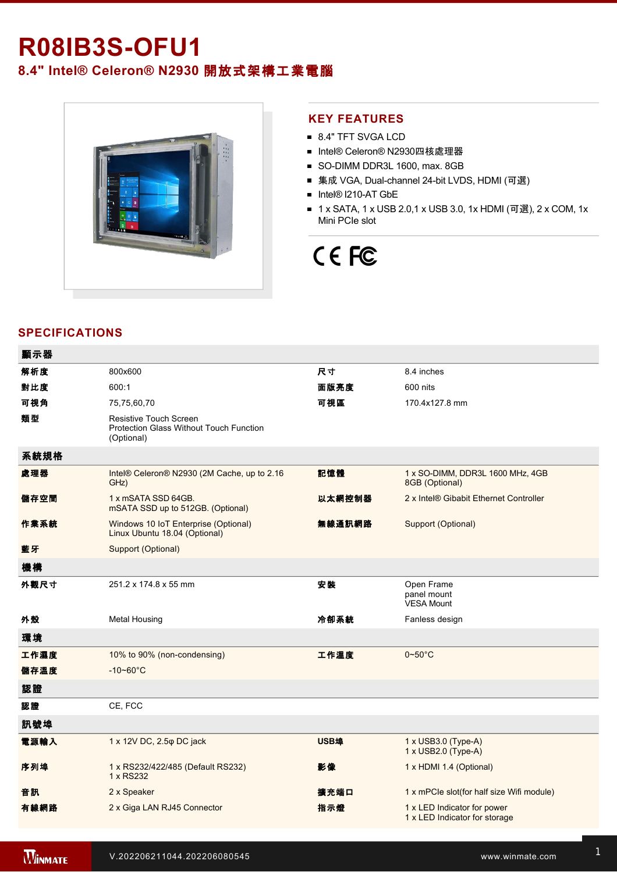# **R08IB3S-OFU1**

**8.4" Intel® Celeron® N2930** 開放式架構工業電腦



### **KEY FEATURES**

- 8.4" TFT SVGA LCD
- Intel® Celeron® N2930四核處理器
- SO-DIMM DDR3L 1600, max. 8GB
- 集成 VGA, Dual-channel 24-bit LVDS, HDMI (可選)
- Intel® I210-AT GbE
- 1 x SATA, 1 x USB 2.0,1 x USB 3.0, 1x HDMI (可選), 2 x COM, 1x Mini PCIe slot

# CE FC

# **SPECIFICATIONS**

| 顯示器  |                                                                                        |             |                                                                 |
|------|----------------------------------------------------------------------------------------|-------------|-----------------------------------------------------------------|
| 解析度  | 800x600                                                                                | 尺寸          | 8.4 inches                                                      |
| 對比度  | 600:1                                                                                  | 面版亮度        | 600 nits                                                        |
| 可視角  | 75,75,60,70                                                                            | 可視區         | 170.4x127.8 mm                                                  |
| 類型   | <b>Resistive Touch Screen</b><br>Protection Glass Without Touch Function<br>(Optional) |             |                                                                 |
| 系統規格 |                                                                                        |             |                                                                 |
| 處理器  | Intel® Celeron® N2930 (2M Cache, up to 2.16<br>GHz)                                    | 記憶體         | 1 x SO-DIMM, DDR3L 1600 MHz, 4GB<br>8GB (Optional)              |
| 儲存空間 | 1 x mSATA SSD 64GB.<br>mSATA SSD up to 512GB. (Optional)                               | 以太網控制器      | 2 x Intel® Gibabit Ethernet Controller                          |
| 作業系統 | Windows 10 IoT Enterprise (Optional)<br>Linux Ubuntu 18.04 (Optional)                  | 無線通訊網路      | Support (Optional)                                              |
| 藍牙   | Support (Optional)                                                                     |             |                                                                 |
| 機構   |                                                                                        |             |                                                                 |
| 外觀尺寸 | 251.2 x 174.8 x 55 mm                                                                  | 安装          | Open Frame<br>panel mount<br><b>VESA Mount</b>                  |
| 外殼   | <b>Metal Housing</b>                                                                   | 冷卻系統        | Fanless design                                                  |
| 環境   |                                                                                        |             |                                                                 |
| 工作濕度 | 10% to 90% (non-condensing)                                                            | 工作溫度        | $0\negthinspace\negthinspace\negthinspace 50^{\circ}\mathrm{C}$ |
| 儲存溫度 | $-10 - 60^{\circ}$ C                                                                   |             |                                                                 |
| 認證   |                                                                                        |             |                                                                 |
| 認證   | CE, FCC                                                                                |             |                                                                 |
| 訊號埠  |                                                                                        |             |                                                                 |
| 電源輸入 | 1 x 12V DC, 2.5 $\phi$ DC jack                                                         | <b>USB埠</b> | $1 \times$ USB3.0 (Type-A)<br>1 x USB2.0 (Type-A)               |
| 序列埠  | 1 x RS232/422/485 (Default RS232)<br>1 x RS232                                         | 影像          | 1 x HDMI 1.4 (Optional)                                         |
| 音訊   | 2 x Speaker                                                                            | 擴充端口        | 1 x mPCle slot(for half size Wifi module)                       |
| 有線網路 | 2 x Giga LAN RJ45 Connector                                                            | 指示燈         | 1 x LED Indicator for power<br>1 x LED Indicator for storage    |